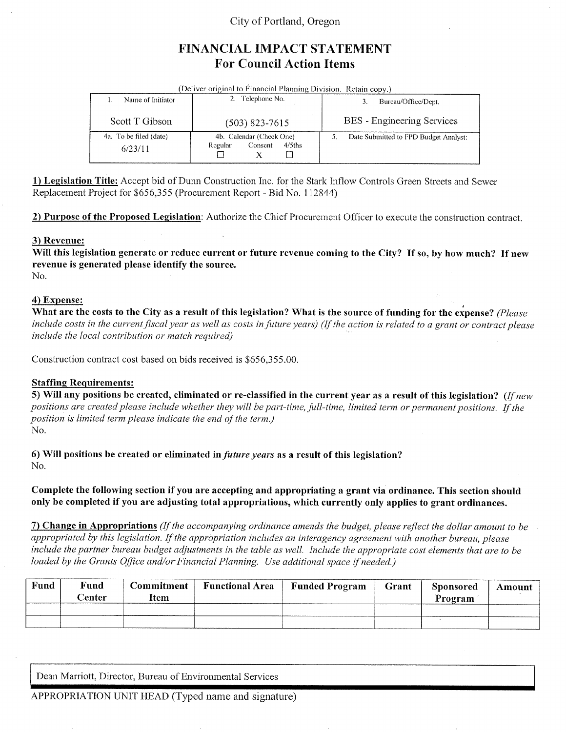### City of Portland, Oregon

# FINANCIAL IMPACT STATEMENT **For Council Action Items**

| (Deliver original to Financial Planning Division. Retain copy.) |                                                             |                                       |  |  |  |  |  |  |
|-----------------------------------------------------------------|-------------------------------------------------------------|---------------------------------------|--|--|--|--|--|--|
| Name of Initiator                                               | 2. Telephone No.                                            | Bureau/Office/Dept.                   |  |  |  |  |  |  |
| Scott T Gibson                                                  | $(503)$ 823-7615                                            | BES - Engineering Services            |  |  |  |  |  |  |
| 4a. To be filed (date)<br>6/23/11                               | 4b. Calendar (Check One)<br>$4/5$ ths<br>Regular<br>Consent | Date Submitted to FPD Budget Analyst: |  |  |  |  |  |  |

1) Legislation Title: Accept bid of Dunn Construction Inc. for the Stark Inflow Controls Green Streets and Sewer Replacement Project for \$656,355 (Procurement Report - Bid No. 112844)

2) Purpose of the Proposed Legislation: Authorize the Chief Procurement Officer to execute the construction contract.

#### 3) Revenue:

Will this legislation generate or reduce current or future revenue coming to the City? If so, by how much? If new revenue is generated please identify the source. No.

#### 4) Expense:

What are the costs to the City as a result of this legislation? What is the source of funding for the expense? (Please include costs in the current fiscal year as well as costs in future years) (If the action is related to a grant or contract please include the local contribution or match required)

Construction contract cost based on bids received is \$656,355.00.

#### **Staffing Requirements:**

5) Will any positions be created, eliminated or re-classified in the current year as a result of this legislation? (If new positions are created please include whether they will be part-time, full-time, limited term or permanent positions. If the position is limited term please indicate the end of the term.) No.

6) Will positions be created or eliminated in *future years* as a result of this legislation?

No.

Complete the following section if you are accepting and appropriating a grant via ordinance. This section should only be completed if you are adjusting total appropriations, which currently only applies to grant ordinances.

7) Change in Appropriations (If the accompanying ordinance amends the budget, please reflect the dollar amount to be appropriated by this legislation. If the appropriation includes an interagency agreement with another bureau, please include the partner bureau budget adjustments in the table as well. Include the appropriate cost elements that are to be loaded by the Grants Office and/or Financial Planning. Use additional space if needed.)

| Fund | Fund<br>Center | Commitment<br>Item | <b>Functional Area</b> | <b>Funded Program</b> | Grant | Sponsored<br>Program | Amount |
|------|----------------|--------------------|------------------------|-----------------------|-------|----------------------|--------|
|      |                |                    |                        |                       |       |                      |        |
|      |                |                    |                        |                       |       |                      |        |

Dean Marriott, Director, Bureau of Environmental Services

APPROPRIATION UNIT HEAD (Typed name and signature)